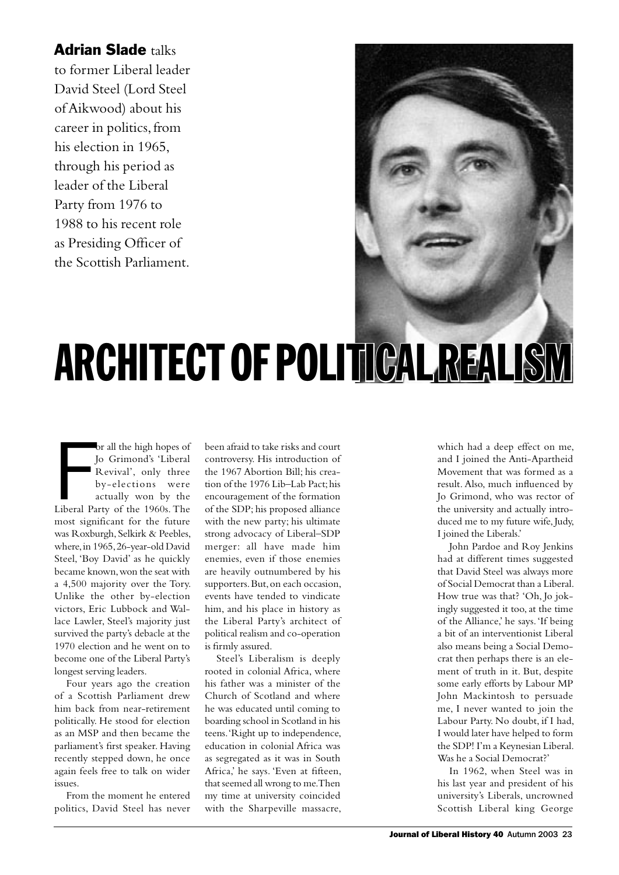## **Adrian Slade talks**

to former Liberal leader David Steel (Lord Steel of Aikwood) about his career in politics, from his election in 1965, through his period as leader of the Liberal Party from 1976 to 1988 to his recent role as Presiding Officer of the Scottish Parliament.

## ARCHITECT OF POLITICAL REALISM

br all the high hopes of<br>
Jo Grimond's 'Liberal<br>
Revival', only three<br>
by-elections were<br>
actually won by the<br>
Liberal Party of the 1960s. The or all the high hopes of Jo Grimond's 'Liberal Revival', only three by-elections were actually won by the most significant for the future was Roxburgh, Selkirk & Peebles, where, in 1965, 26-year-old David Steel, 'Boy David' as he quickly became known, won the seat with a 4,500 majority over the Tory. Unlike the other by-election victors, Eric Lubbock and Wallace Lawler, Steel's majority just survived the party's debacle at the 1970 election and he went on to become one of the Liberal Party's longest serving leaders.

Four years ago the creation of a Scottish Parliament drew him back from near-retirement politically. He stood for election as an MSP and then became the parliament's first speaker. Having recently stepped down, he once again feels free to talk on wider issues.

From the moment he entered politics, David Steel has never been afraid to take risks and court controversy. His introduction of the 1967 Abortion Bill; his creation of the 1976 Lib–Lab Pact; his encouragement of the formation of the SDP; his proposed alliance with the new party; his ultimate strong advocacy of Liberal–SDP merger: all have made him enemies, even if those enemies are heavily outnumbered by his supporters. But, on each occasion, events have tended to vindicate him, and his place in history as the Liberal Party's architect of political realism and co-operation is firmly assured.

Steel's Liberalism is deeply rooted in colonial Africa, where his father was a minister of the Church of Scotland and where he was educated until coming to boarding school in Scotland in his teens. 'Right up to independence, education in colonial Africa was as segregated as it was in South Africa,' he says. 'Even at fifteen, that seemed all wrong to me. Then my time at university coincided with the Sharpeville massacre,

which had a deep effect on me, and I joined the Anti-Apartheid Movement that was formed as a result. Also, much influenced by Jo Grimond, who was rector of the university and actually introduced me to my future wife, Judy, I joined the Liberals.'

John Pardoe and Roy Jenkins had at different times suggested that David Steel was always more of Social Democrat than a Liberal. How true was that? 'Oh, Jo jokingly suggested it too, at the time of the Alliance,' he says. 'If being a bit of an interventionist Liberal also means being a Social Democrat then perhaps there is an element of truth in it. But, despite some early efforts by Labour MP John Mackintosh to persuade me, I never wanted to join the Labour Party. No doubt, if I had, I would later have helped to form the SDP! I'm a Keynesian Liberal. Was he a Social Democrat?'

In 1962, when Steel was in his last year and president of his university's Liberals, uncrowned Scottish Liberal king George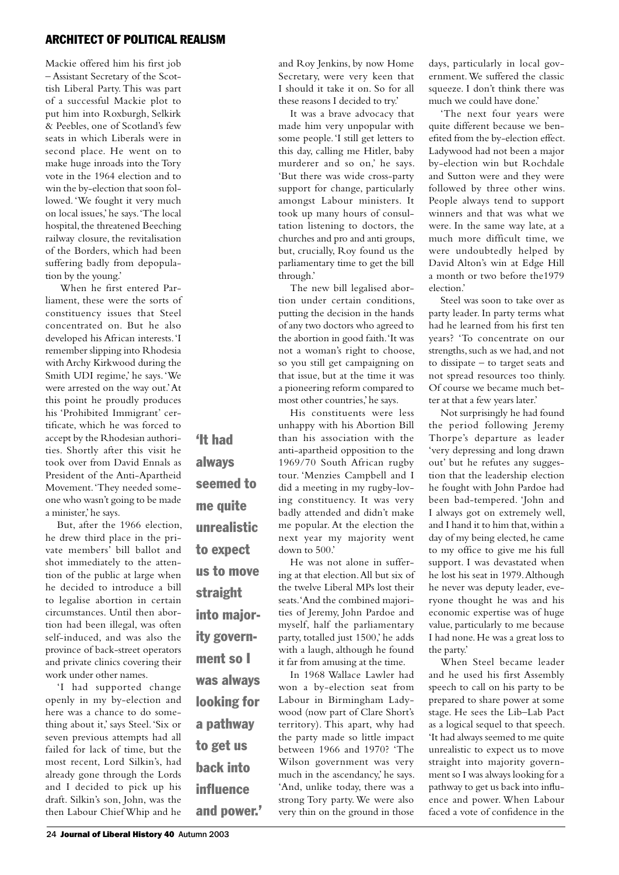## ARCHITECT OF POLITICAL REALISM

Mackie offered him his first job – Assistant Secretary of the Scottish Liberal Party. This was part of a successful Mackie plot to put him into Roxburgh, Selkirk & Peebles, one of Scotland's few seats in which Liberals were in second place. He went on to make huge inroads into the Tory vote in the 1964 election and to win the by-election that soon followed. 'We fought it very much on local issues,' he says. 'The local hospital, the threatened Beeching railway closure, the revitalisation of the Borders, which had been suffering badly from depopulation by the young.'

 When he first entered Parliament, these were the sorts of constituency issues that Steel concentrated on. But he also developed his African interests. 'I remember slipping into Rhodesia with Archy Kirkwood during the Smith UDI regime,' he says. 'We were arrested on the way out.' At this point he proudly produces his 'Prohibited Immigrant' certificate, which he was forced to accept by the Rhodesian authorities. Shortly after this visit he took over from David Ennals as President of the Anti-Apartheid Movement. 'They needed someone who wasn't going to be made a minister,' he says.

But, after the 1966 election, he drew third place in the private members' bill ballot and shot immediately to the attention of the public at large when he decided to introduce a bill to legalise abortion in certain circumstances. Until then abortion had been illegal, was often self-induced, and was also the province of back-street operators and private clinics covering their work under other names.

'I had supported change openly in my by-election and here was a chance to do something about it,' says Steel. 'Six or seven previous attempts had all failed for lack of time, but the most recent, Lord Silkin's, had already gone through the Lords and I decided to pick up his draft. Silkin's son, John, was the then Labour Chief Whip and he

'It had always seemed to me quite unrealistic to expect us to move straight into majority government so I was always looking for a pathway to get us back into influence and power.'

and Roy Jenkins, by now Home Secretary, were very keen that I should it take it on. So for all these reasons I decided to try.'

It was a brave advocacy that made him very unpopular with some people. 'I still get letters to this day, calling me Hitler, baby murderer and so on,' he says. 'But there was wide cross-party support for change, particularly amongst Labour ministers. It took up many hours of consultation listening to doctors, the churches and pro and anti groups, but, crucially, Roy found us the parliamentary time to get the bill through.'

The new bill legalised abortion under certain conditions, putting the decision in the hands of any two doctors who agreed to the abortion in good faith. 'It was not a woman's right to choose, so you still get campaigning on that issue, but at the time it was a pioneering reform compared to most other countries,' he says.

His constituents were less unhappy with his Abortion Bill than his association with the anti-apartheid opposition to the 1969/70 South African rugby tour. 'Menzies Campbell and I did a meeting in my rugby-loving constituency. It was very badly attended and didn't make me popular. At the election the next year my majority went down to 500.'

He was not alone in suffering at that election. All but six of the twelve Liberal MPs lost their seats. 'And the combined majorities of Jeremy, John Pardoe and myself, half the parliamentary party, totalled just 1500,' he adds with a laugh, although he found it far from amusing at the time.

In 1968 Wallace Lawler had won a by-election seat from Labour in Birmingham Ladywood (now part of Clare Short's territory). This apart, why had the party made so little impact between 1966 and 1970? 'The Wilson government was very much in the ascendancy,' he says. 'And, unlike today, there was a strong Tory party. We were also very thin on the ground in those

days, particularly in local government. We suffered the classic squeeze. I don't think there was much we could have done.'

'The next four years were quite different because we benefited from the by-election effect. Ladywood had not been a major by-election win but Rochdale and Sutton were and they were followed by three other wins. People always tend to support winners and that was what we were. In the same way late, at a much more difficult time, we were undoubtedly helped by David Alton's win at Edge Hill a month or two before the1979 election.'

Steel was soon to take over as party leader. In party terms what had he learned from his first ten years? 'To concentrate on our strengths, such as we had, and not to dissipate – to target seats and not spread resources too thinly. Of course we became much better at that a few years later.'

Not surprisingly he had found the period following Jeremy Thorpe's departure as leader 'very depressing and long drawn out' but he refutes any suggestion that the leadership election he fought with John Pardoe had been bad-tempered. 'John and I always got on extremely well, and I hand it to him that, within a day of my being elected, he came to my office to give me his full support. I was devastated when he lost his seat in 1979. Although he never was deputy leader, everyone thought he was and his economic expertise was of huge value, particularly to me because I had none. He was a great loss to the party.'

When Steel became leader and he used his first Assembly speech to call on his party to be prepared to share power at some stage. He sees the Lib–Lab Pact as a logical sequel to that speech. 'It had always seemed to me quite unrealistic to expect us to move straight into majority government so I was always looking for a pathway to get us back into influence and power. When Labour faced a vote of confidence in the